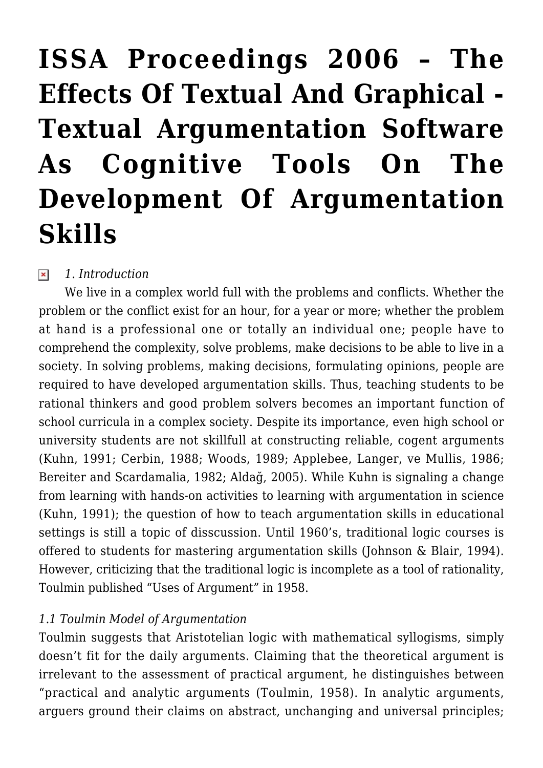# **[ISSA Proceedings 2006 – The](https://rozenbergquarterly.com/issa-proceedings-2006-the-effects-of-textual-and-graphical-textual-argumentation-software-as-cognitive-tools-on-the-development-of-argumentation-skills/) [Effects Of Textual And Graphical -](https://rozenbergquarterly.com/issa-proceedings-2006-the-effects-of-textual-and-graphical-textual-argumentation-software-as-cognitive-tools-on-the-development-of-argumentation-skills/) [Textual Argumentation Software](https://rozenbergquarterly.com/issa-proceedings-2006-the-effects-of-textual-and-graphical-textual-argumentation-software-as-cognitive-tools-on-the-development-of-argumentation-skills/) [As Cognitive Tools On The](https://rozenbergquarterly.com/issa-proceedings-2006-the-effects-of-textual-and-graphical-textual-argumentation-software-as-cognitive-tools-on-the-development-of-argumentation-skills/) [Development Of Argumentation](https://rozenbergquarterly.com/issa-proceedings-2006-the-effects-of-textual-and-graphical-textual-argumentation-software-as-cognitive-tools-on-the-development-of-argumentation-skills/) [Skills](https://rozenbergquarterly.com/issa-proceedings-2006-the-effects-of-textual-and-graphical-textual-argumentation-software-as-cognitive-tools-on-the-development-of-argumentation-skills/)**

#### *1. Introduction*  $\pmb{\times}$

We live in a complex world full with the problems and conflicts. Whether the problem or the conflict exist for an hour, for a year or more; whether the problem at hand is a professional one or totally an individual one; people have to comprehend the complexity, solve problems, make decisions to be able to live in a society. In solving problems, making decisions, formulating opinions, people are required to have developed argumentation skills. Thus, teaching students to be rational thinkers and good problem solvers becomes an important function of school curricula in a complex society. Despite its importance, even high school or university students are not skillfull at constructing reliable, cogent arguments (Kuhn, 1991; Cerbin, 1988; Woods, 1989; Applebee, Langer, ve Mullis, 1986; Bereiter and Scardamalia, 1982; Aldağ, 2005). While Kuhn is signaling a change from learning with hands-on activities to learning with argumentation in science (Kuhn, 1991); the question of how to teach argumentation skills in educational settings is still a topic of disscussion. Until 1960's, traditional logic courses is offered to students for mastering argumentation skills (Johnson & Blair, 1994). However, criticizing that the traditional logic is incomplete as a tool of rationality, Toulmin published "Uses of Argument" in 1958.

### *1.1 Toulmin Model of Argumentation*

Toulmin suggests that Aristotelian logic with mathematical syllogisms, simply doesn't fit for the daily arguments. Claiming that the theoretical argument is irrelevant to the assessment of practical argument, he distinguishes between "practical and analytic arguments (Toulmin, 1958). In analytic arguments, arguers ground their claims on abstract, unchanging and universal principles;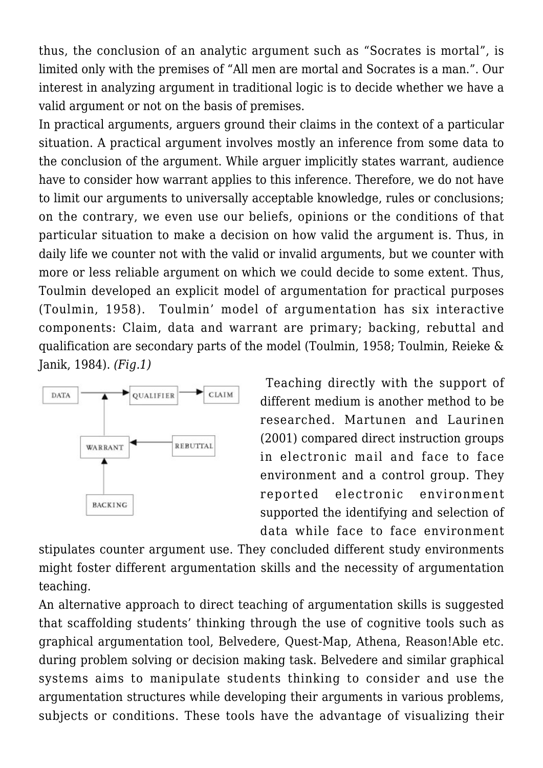thus, the conclusion of an analytic argument such as "Socrates is mortal", is limited only with the premises of "All men are mortal and Socrates is a man.". Our interest in analyzing argument in traditional logic is to decide whether we have a valid argument or not on the basis of premises.

In practical arguments, arguers ground their claims in the context of a particular situation. A practical argument involves mostly an inference from some data to the conclusion of the argument. While arguer implicitly states warrant, audience have to consider how warrant applies to this inference. Therefore, we do not have to limit our arguments to universally acceptable knowledge, rules or conclusions; on the contrary, we even use our beliefs, opinions or the conditions of that particular situation to make a decision on how valid the argument is. Thus, in daily life we counter not with the valid or invalid arguments, but we counter with more or less reliable argument on which we could decide to some extent. Thus, Toulmin developed an explicit model of argumentation for practical purposes (Toulmin, 1958). Toulmin' model of argumentation has six interactive components: Claim, data and warrant are primary; backing, rebuttal and qualification are secondary parts of the model (Toulmin, 1958; Toulmin, Reieke & Janik, 1984). *(Fig.1)*



 Teaching directly with the support of different medium is another method to be researched. Martunen and Laurinen (2001) compared direct instruction groups in electronic mail and face to face environment and a control group. They reported electronic environment supported the identifying and selection of data while face to face environment

stipulates counter argument use. They concluded different study environments might foster different argumentation skills and the necessity of argumentation teaching.

An alternative approach to direct teaching of argumentation skills is suggested that scaffolding students' thinking through the use of cognitive tools such as graphical argumentation tool, Belvedere, Quest-Map, Athena, Reason!Able etc. during problem solving or decision making task. Belvedere and similar graphical systems aims to manipulate students thinking to consider and use the argumentation structures while developing their arguments in various problems, subjects or conditions. These tools have the advantage of visualizing their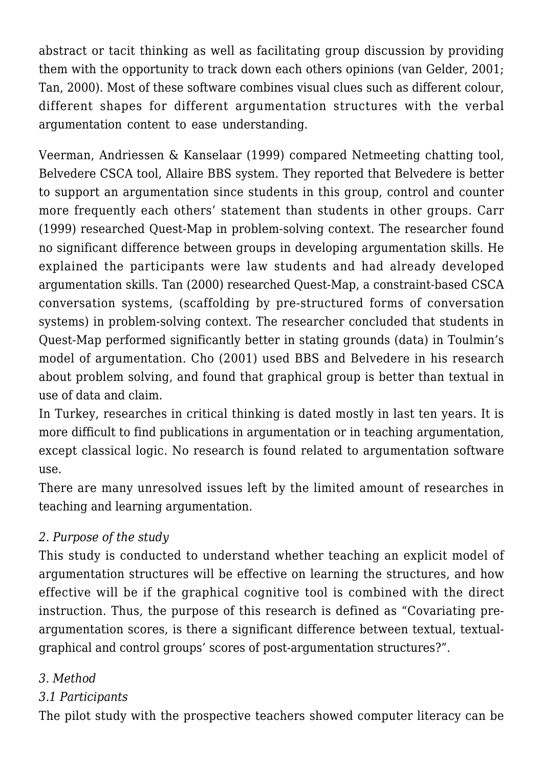abstract or tacit thinking as well as facilitating group discussion by providing them with the opportunity to track down each others opinions (van Gelder, 2001; Tan, 2000). Most of these software combines visual clues such as different colour, different shapes for different argumentation structures with the verbal argumentation content to ease understanding.

Veerman, Andriessen & Kanselaar (1999) compared Netmeeting chatting tool, Belvedere CSCA tool, Allaire BBS system. They reported that Belvedere is better to support an argumentation since students in this group, control and counter more frequently each others' statement than students in other groups. Carr (1999) researched Quest-Map in problem-solving context. The researcher found no significant difference between groups in developing argumentation skills. He explained the participants were law students and had already developed argumentation skills. Tan (2000) researched Quest-Map, a constraint-based CSCA conversation systems, (scaffolding by pre-structured forms of conversation systems) in problem-solving context. The researcher concluded that students in Quest-Map performed significantly better in stating grounds (data) in Toulmin's model of argumentation. Cho (2001) used BBS and Belvedere in his research about problem solving, and found that graphical group is better than textual in use of data and claim.

In Turkey, researches in critical thinking is dated mostly in last ten years. It is more difficult to find publications in argumentation or in teaching argumentation, except classical logic. No research is found related to argumentation software use.

There are many unresolved issues left by the limited amount of researches in teaching and learning argumentation.

# *2. Purpose of the study*

This study is conducted to understand whether teaching an explicit model of argumentation structures will be effective on learning the structures, and how effective will be if the graphical cognitive tool is combined with the direct instruction. Thus, the purpose of this research is defined as "Covariating preargumentation scores, is there a significant difference between textual, textualgraphical and control groups' scores of post-argumentation structures?".

### *3. Method*

# *3.1 Participants*

The pilot study with the prospective teachers showed computer literacy can be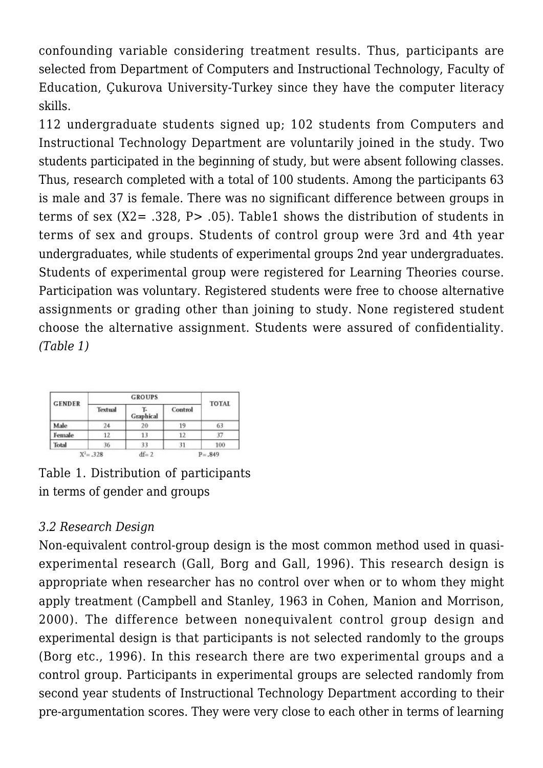confounding variable considering treatment results. Thus, participants are selected from Department of Computers and Instructional Technology, Faculty of Education, Çukurova University-Turkey since they have the computer literacy skills.

112 undergraduate students signed up; 102 students from Computers and Instructional Technology Department are voluntarily joined in the study. Two students participated in the beginning of study, but were absent following classes. Thus, research completed with a total of 100 students. Among the participants 63 is male and 37 is female. There was no significant difference between groups in terms of sex  $(X2 = .328, P > .05)$ . Table1 shows the distribution of students in terms of sex and groups. Students of control group were 3rd and 4th year undergraduates, while students of experimental groups 2nd year undergraduates. Students of experimental group were registered for Learning Theories course. Participation was voluntary. Registered students were free to choose alternative assignments or grading other than joining to study. None registered student choose the alternative assignment. Students were assured of confidentiality. *(Table 1)*

| <b>GENDER</b> |              | <b>GROUPS</b> |         | <b>TOTAL</b> |  |
|---------------|--------------|---------------|---------|--------------|--|
|               | Textual      | Graphical     | Control |              |  |
| Male          | 24           | 20            | 19      | 63           |  |
| Female        | 12           |               | 12      |              |  |
| Total         | 36           | 33            |         | 100          |  |
|               | $X^2 = .328$ | $df = 2$      |         | $P = .849$   |  |

Table 1. Distribution of participants in terms of gender and groups

# *3.2 Research Design*

Non-equivalent control-group design is the most common method used in quasiexperimental research (Gall, Borg and Gall, 1996). This research design is appropriate when researcher has no control over when or to whom they might apply treatment (Campbell and Stanley, 1963 in Cohen, Manion and Morrison, 2000). The difference between nonequivalent control group design and experimental design is that participants is not selected randomly to the groups (Borg etc., 1996). In this research there are two experimental groups and a control group. Participants in experimental groups are selected randomly from second year students of Instructional Technology Department according to their pre-argumentation scores. They were very close to each other in terms of learning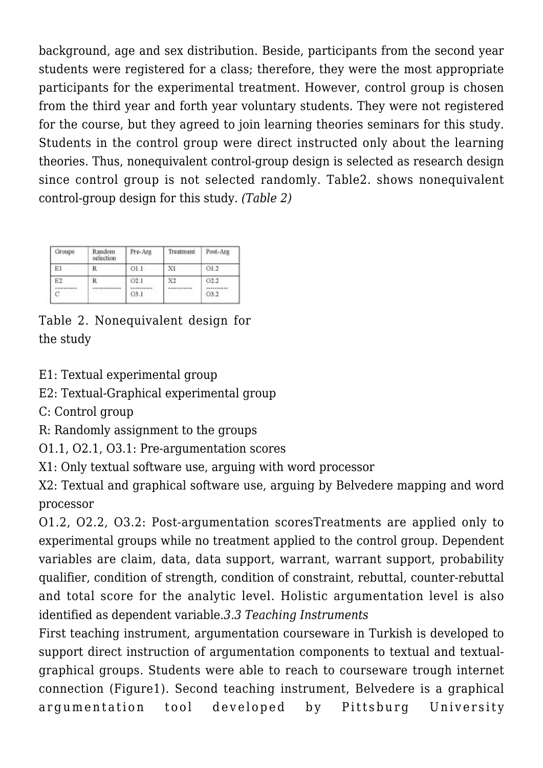background, age and sex distribution. Beside, participants from the second year students were registered for a class; therefore, they were the most appropriate participants for the experimental treatment. However, control group is chosen from the third year and forth year voluntary students. They were not registered for the course, but they agreed to join learning theories seminars for this study. Students in the control group were direct instructed only about the learning theories. Thus, nonequivalent control-group design is selected as research design since control group is not selected randomly. Table2. shows nonequivalent control-group design for this study. *(Table 2)*

| Groups      | Random<br>selection | Pre-Arg          | Treatment         | Post-Arg                   |  |
|-------------|---------------------|------------------|-------------------|----------------------------|--|
| Εl          | R                   | O1.1             | XI                | O1.2                       |  |
| E2<br><br>Ć | R<br>-----------    | O2.1<br><br>O3.1 | X2<br>----------- | O2.2<br>----------<br>O3.2 |  |

Table 2. Nonequivalent design for the study

E1: Textual experimental group

E2: Textual-Graphical experimental group

C: Control group

R: Randomly assignment to the groups

O1.1, O2.1, O3.1: Pre-argumentation scores

X1: Only textual software use, arguing with word processor

X2: Textual and graphical software use, arguing by Belvedere mapping and word processor

O1.2, O2.2, O3.2: Post-argumentation scoresTreatments are applied only to experimental groups while no treatment applied to the control group. Dependent variables are claim, data, data support, warrant, warrant support, probability qualifier, condition of strength, condition of constraint, rebuttal, counter-rebuttal and total score for the analytic level. Holistic argumentation level is also identified as dependent variable.*3.3 Teaching Instruments*

First teaching instrument, argumentation courseware in Turkish is developed to support direct instruction of argumentation components to textual and textualgraphical groups. Students were able to reach to courseware trough internet connection (Figure1). Second teaching instrument, Belvedere is a graphical argumentation tool developed by Pittsburg University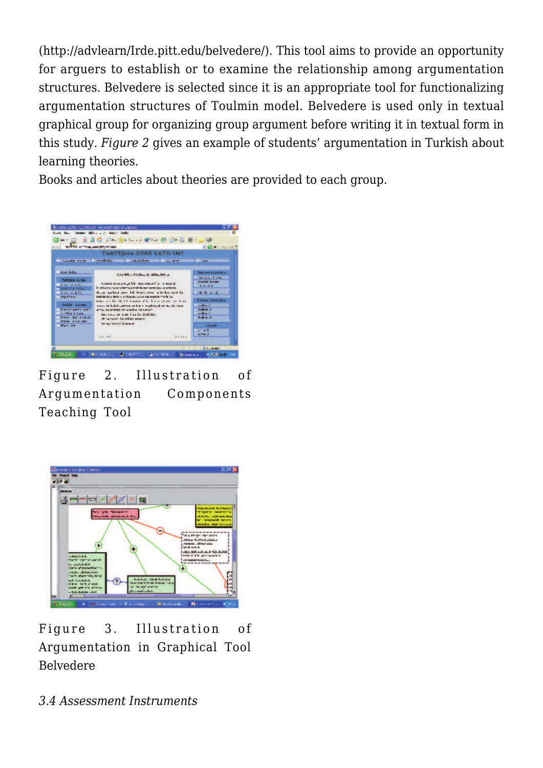(http://advlearn/Irde.pitt.edu/belvedere/). This tool aims to provide an opportunity for arguers to establish or to examine the relationship among argumentation structures. Belvedere is selected since it is an appropriate tool for functionalizing argumentation structures of Toulmin model. Belvedere is used only in textual graphical group for organizing group argument before writing it in textual form in this study. *Figure 2* gives an example of students' argumentation in Turkish about learning theories.

Books and articles about theories are provided to each group.



Figure 2. Illustration of Argumentation Components Teaching Tool



Figure 3. Illustration of Argumentation in Graphical Tool Belvedere

*3.4 Assessment Instruments*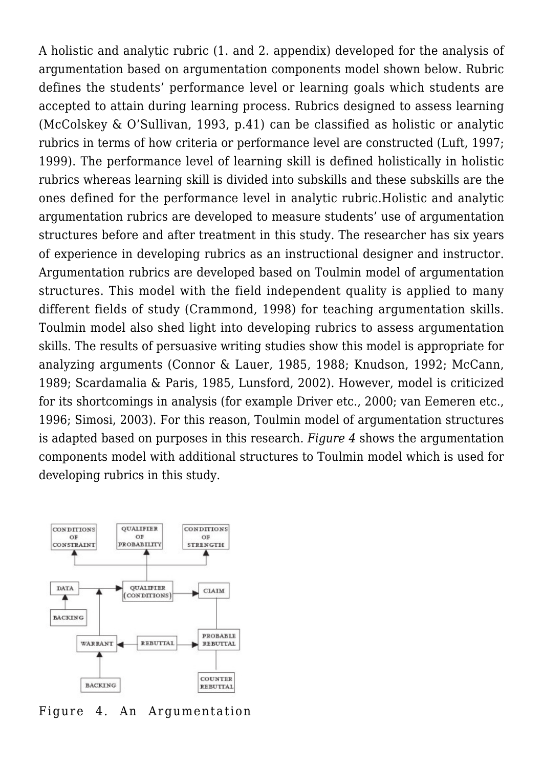A holistic and analytic rubric (1. and 2. appendix) developed for the analysis of argumentation based on argumentation components model shown below. Rubric defines the students' performance level or learning goals which students are accepted to attain during learning process. Rubrics designed to assess learning (McColskey & O'Sullivan, 1993, p.41) can be classified as holistic or analytic rubrics in terms of how criteria or performance level are constructed (Luft, 1997; 1999). The performance level of learning skill is defined holistically in holistic rubrics whereas learning skill is divided into subskills and these subskills are the ones defined for the performance level in analytic rubric.Holistic and analytic argumentation rubrics are developed to measure students' use of argumentation structures before and after treatment in this study. The researcher has six years of experience in developing rubrics as an instructional designer and instructor. Argumentation rubrics are developed based on Toulmin model of argumentation structures. This model with the field independent quality is applied to many different fields of study (Crammond, 1998) for teaching argumentation skills. Toulmin model also shed light into developing rubrics to assess argumentation skills. The results of persuasive writing studies show this model is appropriate for analyzing arguments (Connor & Lauer, 1985, 1988; Knudson, 1992; McCann, 1989; Scardamalia & Paris, 1985, Lunsford, 2002). However, model is criticized for its shortcomings in analysis (for example Driver etc., 2000; van Eemeren etc., 1996; Simosi, 2003). For this reason, Toulmin model of argumentation structures is adapted based on purposes in this research. *Figure 4* shows the argumentation components model with additional structures to Toulmin model which is used for developing rubrics in this study.

![](_page_6_Figure_1.jpeg)

Figure 4. An Argumentation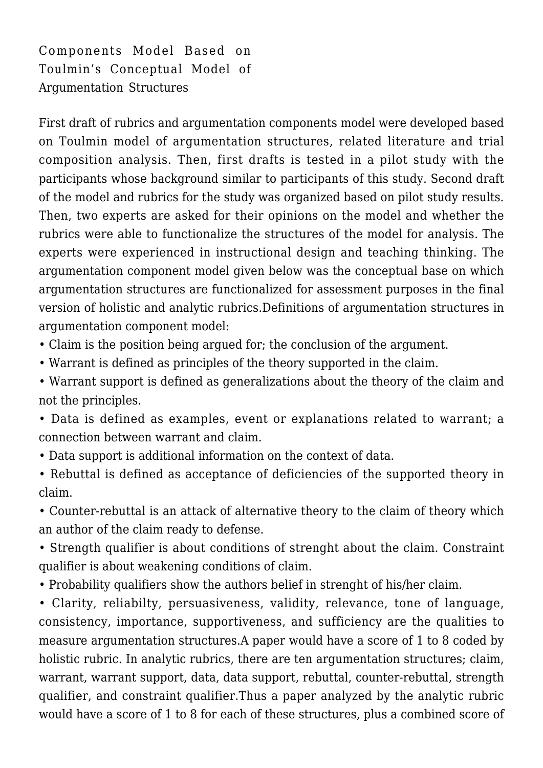Components Model Based on Toulmin's Conceptual Model of Argumentation Structures

First draft of rubrics and argumentation components model were developed based on Toulmin model of argumentation structures, related literature and trial composition analysis. Then, first drafts is tested in a pilot study with the participants whose background similar to participants of this study. Second draft of the model and rubrics for the study was organized based on pilot study results. Then, two experts are asked for their opinions on the model and whether the rubrics were able to functionalize the structures of the model for analysis. The experts were experienced in instructional design and teaching thinking. The argumentation component model given below was the conceptual base on which argumentation structures are functionalized for assessment purposes in the final version of holistic and analytic rubrics.Definitions of argumentation structures in argumentation component model:

• Claim is the position being argued for; the conclusion of the argument.

• Warrant is defined as principles of the theory supported in the claim.

• Warrant support is defined as generalizations about the theory of the claim and not the principles.

• Data is defined as examples, event or explanations related to warrant; a connection between warrant and claim.

• Data support is additional information on the context of data.

• Rebuttal is defined as acceptance of deficiencies of the supported theory in claim.

• Counter-rebuttal is an attack of alternative theory to the claim of theory which an author of the claim ready to defense.

• Strength qualifier is about conditions of strenght about the claim. Constraint qualifier is about weakening conditions of claim.

• Probability qualifiers show the authors belief in strenght of his/her claim.

• Clarity, reliabilty, persuasiveness, validity, relevance, tone of language, consistency, importance, supportiveness, and sufficiency are the qualities to measure argumentation structures.A paper would have a score of 1 to 8 coded by holistic rubric. In analytic rubrics, there are ten argumentation structures; claim, warrant, warrant support, data, data support, rebuttal, counter-rebuttal, strength qualifier, and constraint qualifier.Thus a paper analyzed by the analytic rubric would have a score of 1 to 8 for each of these structures, plus a combined score of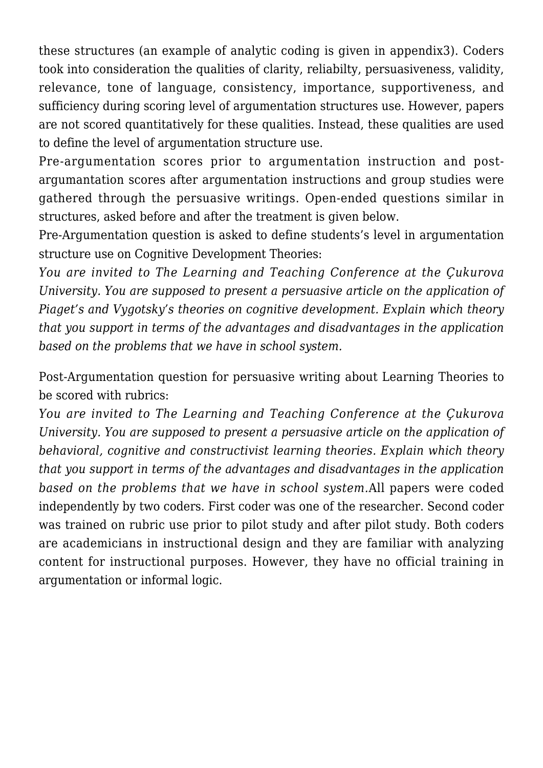these structures (an example of analytic coding is given in appendix3). Coders took into consideration the qualities of clarity, reliabilty, persuasiveness, validity, relevance, tone of language, consistency, importance, supportiveness, and sufficiency during scoring level of argumentation structures use. However, papers are not scored quantitatively for these qualities. Instead, these qualities are used to define the level of argumentation structure use.

Pre-argumentation scores prior to argumentation instruction and postargumantation scores after argumentation instructions and group studies were gathered through the persuasive writings. Open-ended questions similar in structures, asked before and after the treatment is given below.

Pre-Argumentation question is asked to define students's level in argumentation structure use on Cognitive Development Theories:

*You are invited to The Learning and Teaching Conference at the Çukurova University. You are supposed to present a persuasive article on the application of Piaget's and Vygotsky's theories on cognitive development. Explain which theory that you support in terms of the advantages and disadvantages in the application based on the problems that we have in school system.*

Post-Argumentation question for persuasive writing about Learning Theories to be scored with rubrics:

*You are invited to The Learning and Teaching Conference at the Çukurova University. You are supposed to present a persuasive article on the application of behavioral, cognitive and constructivist learning theories. Explain which theory that you support in terms of the advantages and disadvantages in the application based on the problems that we have in school system.*All papers were coded independently by two coders. First coder was one of the researcher. Second coder was trained on rubric use prior to pilot study and after pilot study. Both coders are academicians in instructional design and they are familiar with analyzing content for instructional purposes. However, they have no official training in argumentation or informal logic.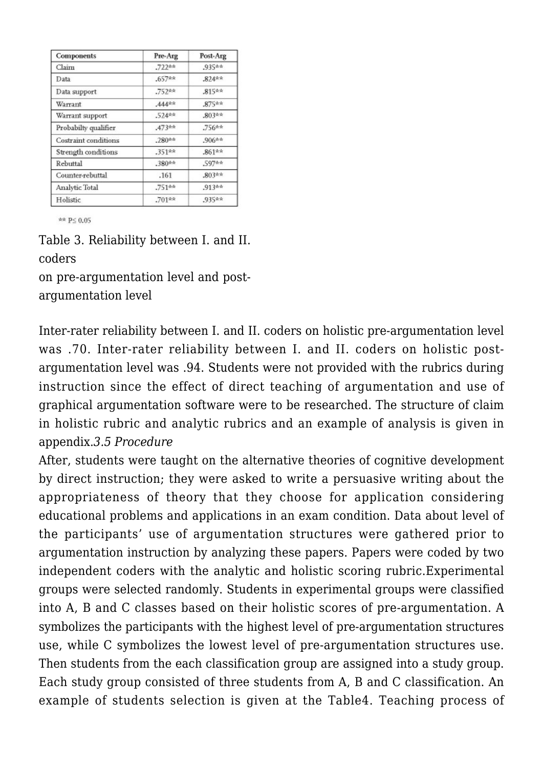| Components           | Pre-Arg    | Post-Arg  |  |
|----------------------|------------|-----------|--|
| Claim                | $.722**$   | .935**    |  |
| Data                 | $.657$ **  | $.824**$  |  |
| Data support         | .752sek    | $.815**$  |  |
| Warrant              | $.444$ sek | $.875$ ** |  |
| Warrant support      | $.524$ skk | $.803**$  |  |
| Probabilty qualifier | $.473**$   | $.756**$  |  |
| Costraint conditions | $.280**$   | $.906**$  |  |
| Strength conditions  | .351 **    | $.861***$ |  |
| Rebuttal             | $.380**$   | $.597**$  |  |
| Counter-rebuttal     | .161       | .803**    |  |
| Analytic Total       | $.751**$   | $.913**$  |  |
| Holistic             | .701**     | .935**    |  |

\*\* P≤ 0.05

Table 3. Reliability between I. and II. coders

on pre-argumentation level and postargumentation level

Inter-rater reliability between I. and II. coders on holistic pre-argumentation level was .70. Inter-rater reliability between I. and II. coders on holistic postargumentation level was .94. Students were not provided with the rubrics during instruction since the effect of direct teaching of argumentation and use of graphical argumentation software were to be researched. The structure of claim in holistic rubric and analytic rubrics and an example of analysis is given in appendix.*3.5 Procedure*

After, students were taught on the alternative theories of cognitive development by direct instruction; they were asked to write a persuasive writing about the appropriateness of theory that they choose for application considering educational problems and applications in an exam condition. Data about level of the participants' use of argumentation structures were gathered prior to argumentation instruction by analyzing these papers. Papers were coded by two independent coders with the analytic and holistic scoring rubric.Experimental groups were selected randomly. Students in experimental groups were classified into A, B and C classes based on their holistic scores of pre-argumentation. A symbolizes the participants with the highest level of pre-argumentation structures use, while C symbolizes the lowest level of pre-argumentation structures use. Then students from the each classification group are assigned into a study group. Each study group consisted of three students from A, B and C classification. An example of students selection is given at the Table4. Teaching process of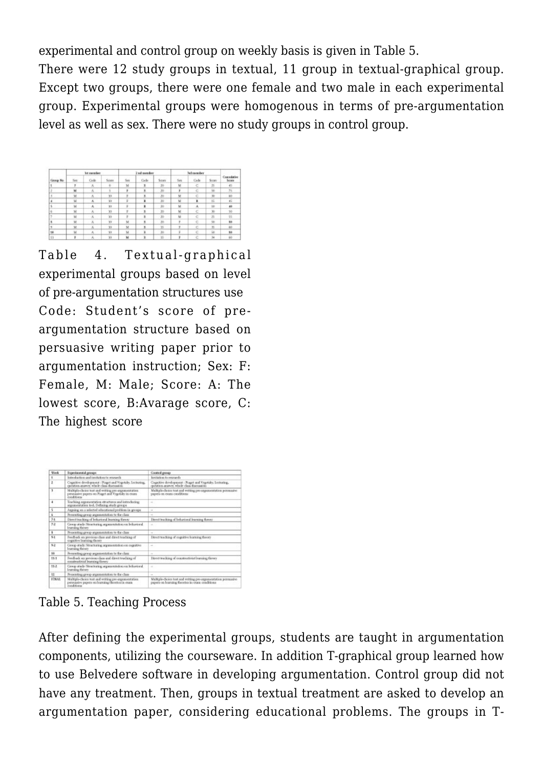experimental and control group on weekly basis is given in Table 5. There were 12 study groups in textual, 11 group in textual-graphical group. Except two groups, there were one female and two male in each experimental group. Experimental groups were homogenous in terms of pre-argumentation level as well as sex. There were no study groups in control group.

|           |          | 1st successor |       |               | 2 nd monibor |                 |      | Jed neowher |                 |                      |
|-----------|----------|---------------|-------|---------------|--------------|-----------------|------|-------------|-----------------|----------------------|
| Group No. | Sec      | Code          | Score | Sex.          | Cade         | Score           | Sint | Code        | Scops           | Compulation<br>Score |
|           | ٠        | ×.            | is.   | M             | ×            | 20              | M    | c           | 25              | 45                   |
|           | M        | A             |       |               | ×.           | 30              |      | e           | 56              | 75                   |
|           | M        | ĸ             | 10    |               | ×.           | 30              | M    | è.          | 30              | 10                   |
| ٠<br>,    | M        | ٨             | 10    | s             | ٠            | 30              | M    | ٠           | ES              | 45                   |
| ţ,        | M        | ٨             | w     | x             | ×            | $20 -$          | ×    | 豆           | io              | 40                   |
| s.        | M        | Ä             | 30    |               | ĸ            | 30              | ×    | c           | 30              | 50                   |
| y.        | <b>M</b> | -36           | 30    | $\mathcal{L}$ | ×            | 30 <sup>°</sup> | ×    | c           | z               | 85                   |
| x         | M        | A             | 10    | M             | B.           | 30              |      | c           | 50              | 10                   |
| ٠         | M        | x             | 10    | M             | p.           | 75              |      | c           | $\overline{33}$ | 80                   |
| 10        | M        | a.            | $-10$ | M             | ×            | 30 <sub>1</sub> |      | e           | $\omega$        | \$0                  |
| <b>KW</b> |          |               | W.    | w             | ×            | $\frac{1}{2}$   |      |             | <b>SA</b>       | <b>CO</b>            |

Table 4. Textual-graphical experimental groups based on level of pre-argumentation structures use Code: Student's score of preargumentation structure based on persuasive writing paper prior to argumentation instruction; Sex: F: Female, M: Male; Score: A: The lowest score, B:Avarage score, C: The highest score

| Wook         | <b>Experimental georgist</b>                                                                                               | Constant generals                                                                                               |  |  |  |  |  |
|--------------|----------------------------------------------------------------------------------------------------------------------------|-----------------------------------------------------------------------------------------------------------------|--|--|--|--|--|
| ٠            | Introduction and invitation to receasely                                                                                   | levilation to recourch.                                                                                         |  |  |  |  |  |
| $\mathbf{z}$ | Cognitive development : Pinget and Vygotales Lecharing,<br>caration-assess whole class discussion:                         | Cognitive development : Pinget and Vrgotsky, Lecturing,<br>question-arasver, whole class discussion             |  |  |  |  |  |
| 3            | Multiple-choice test and writing pre-argumentation.<br>personative papers on Pinget and Vygotales in cours-<br>conditions. | Maltple-floice test and writing pre-anguascatation persuasive<br>papers on coats conditions.                    |  |  |  |  |  |
| ٠            | Teaching aspiratestation structures and introducing<br>asparentation tool. Defining study groups                           | ÷                                                                                                               |  |  |  |  |  |
| 5            | Auguing on a selected educational problem in groups                                                                        | $\sim$                                                                                                          |  |  |  |  |  |
| s            | Presenting group argumentation to the class.                                                                               |                                                                                                                 |  |  |  |  |  |
| 3.1          | Direct teaching of behavioral learning theory                                                                              | Direct tracking of behavioral learning throny                                                                   |  |  |  |  |  |
| 7.2          | Group study Stracturing argumentation on behavioral<br>Installag Genes                                                     | $\sim$                                                                                                          |  |  |  |  |  |
| s            | Presenting group argumentation to the class                                                                                | $\sim$                                                                                                          |  |  |  |  |  |
| 5.1          | Feedback on previous class and direct teaching of<br>cognitive learning theses                                             | Direct teaching of cognitive learning theory                                                                    |  |  |  |  |  |
| 52           | Group study. Structuring argumentation on cognition<br>Istanting Brooks                                                    | -                                                                                                               |  |  |  |  |  |
| so           | Presenting group argumentation to the class                                                                                | $\sim$                                                                                                          |  |  |  |  |  |
| 11.1         | Feedback att previous class and direct traching of<br>constructivist learning throry                                       | Direct teaching of constructivist Insening theory.                                                              |  |  |  |  |  |
| 11.3         | Group study Stracturing argumentation on behavioral<br>Instraling Geory                                                    | ×.                                                                                                              |  |  |  |  |  |
| 12           | Presenting group argumentation to the class                                                                                | $\overline{\phantom{a}}$                                                                                        |  |  |  |  |  |
| <b>ETNAT</b> | Multiple-choice test and writing pre-angementation.<br>persuadre papers en learning thorées in cusa.<br>conditions         | Maltiple-choice test and writing pre-asgumentation permanity.<br>papers on learning flaories in ours coaditions |  |  |  |  |  |

Table 5. Teaching Process

After defining the experimental groups, students are taught in argumentation components, utilizing the courseware. In addition T-graphical group learned how to use Belvedere software in developing argumentation. Control group did not have any treatment. Then, groups in textual treatment are asked to develop an argumentation paper, considering educational problems. The groups in T-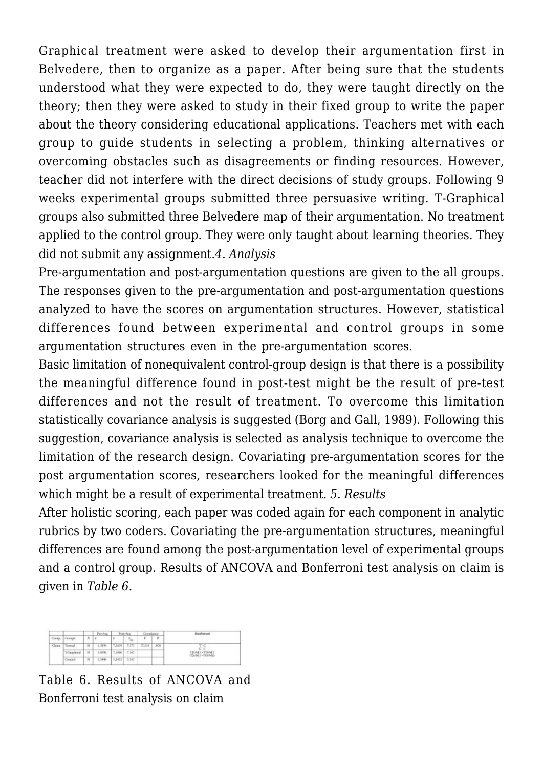Graphical treatment were asked to develop their argumentation first in Belvedere, then to organize as a paper. After being sure that the students understood what they were expected to do, they were taught directly on the theory; then they were asked to study in their fixed group to write the paper about the theory considering educational applications. Teachers met with each group to guide students in selecting a problem, thinking alternatives or overcoming obstacles such as disagreements or finding resources. However, teacher did not interfere with the direct decisions of study groups. Following 9 weeks experimental groups submitted three persuasive writing. T-Graphical groups also submitted three Belvedere map of their argumentation. No treatment applied to the control group. They were only taught about learning theories. They did not submit any assignment.*4. Analysis*

Pre-argumentation and post-argumentation questions are given to the all groups. The responses given to the pre-argumentation and post-argumentation questions analyzed to have the scores on argumentation structures. However, statistical differences found between experimental and control groups in some argumentation structures even in the pre-argumentation scores.

Basic limitation of nonequivalent control-group design is that there is a possibility the meaningful difference found in post-test might be the result of pre-test differences and not the result of treatment. To overcome this limitation statistically covariance analysis is suggested (Borg and Gall, 1989). Following this suggestion, covariance analysis is selected as analysis technique to overcome the limitation of the research design. Covariating pre-argumentation scores for the post argumentation scores, researchers looked for the meaningful differences which might be a result of experimental treatment. *5. Results*

After holistic scoring, each paper was coded again for each component in analytic rubrics by two coders. Covariating the pre-argumentation structures, meaningful differences are found among the post-argumentation level of experimental groups and a control group. Results of ANCOVA and Bonferroni test analysis on claim is given in *Table 6.*

| <b>Service</b> |                                                 |                          | Pre-Asg |               | Post-Are: |        | Cevatizion | <b>Deadleywood</b>                  |
|----------------|-------------------------------------------------|--------------------------|---------|---------------|-----------|--------|------------|-------------------------------------|
|                | $N$   x<br>r<br>v<br>$E_{\rm tot}$<br>Cantració |                          |         |               |           |        |            |                                     |
| Clairs         | <b>Textual</b>                                  | $\overline{\mathcal{H}}$ | 5.3154  | 7,3639 7,371  |           | 17.219 | $_{J00}$   | $T^*d$<br>$1 - 1$                   |
|                | Ecleophical                                     | iri)                     | S.KINL  | 7,9380. 7,167 |           |        |            | <b>CHART-TRAK</b><br>COUNTER-CERVEL |
|                | Cantrol                                         | 51                       | 5.5484  | 5,162 5,161   |           |        |            |                                     |

Table 6. Results of ANCOVA and Bonferroni test analysis on claim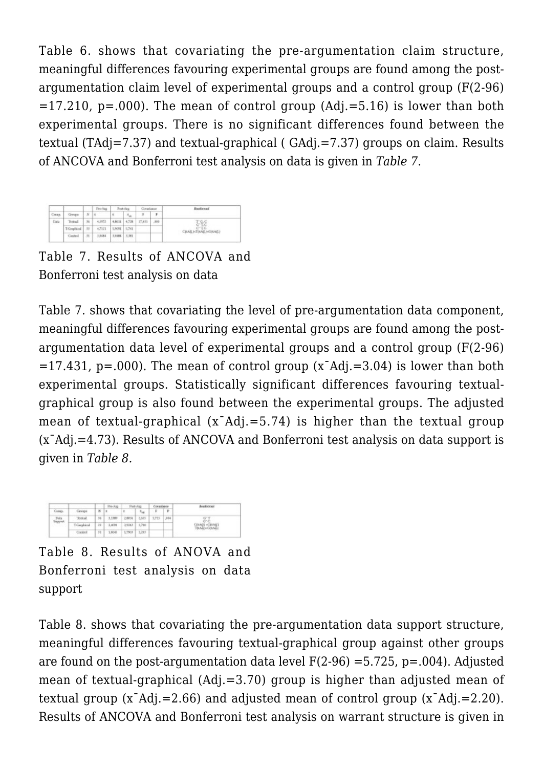Table 6. shows that covariating the pre-argumentation claim structure, meaningful differences favouring experimental groups are found among the postargumentation claim level of experimental groups and a control group (F(2-96)  $=17.210$ , p=.000). The mean of control group (Adj.=5.16) is lower than both experimental groups. There is no significant differences found between the textual (TAdj=7.37) and textual-graphical ( GAdj.=7.37) groups on claim. Results of ANCOVA and Bonferroni test analysis on data is given in *Table 7*.

|             |                                                                                  |      | Proving | Fost-Arg<br>Congiance |                                   |                     | Businessi |                   |  |  |
|-------------|----------------------------------------------------------------------------------|------|---------|-----------------------|-----------------------------------|---------------------|-----------|-------------------|--|--|
| Cormp.      | $\mathcal{M}$<br>p<br>$\hat{\mathcal{R}}_{\rm int}$<br>,,,,,<br>Ι×<br>Grega<br>× |      |         |                       |                                   |                     |           |                   |  |  |
| <b>Tura</b> | Total                                                                            | $36$ | 4,9973  |                       |                                   | 4,8631 4,728 37,471 | .006      | $\frac{766}{676}$ |  |  |
|             | T-Graphical                                                                      | 55   | 4,7121  | 5,5091 5,741          |                                   |                     |           |                   |  |  |
|             | Carded                                                                           | J1   | 1,8484  |                       | CRASI-TOUGLASOUNG<br>3,6484 3,381 |                     |           |                   |  |  |

Table 7. Results of ANCOVA and Bonferroni test analysis on data

Table 7. shows that covariating the level of pre-argumentation data component, meaningful differences favouring experimental groups are found among the postargumentation data level of experimental groups and a control group (F(2-96)  $=17.431$ , p=.000). The mean of control group (x<sup>-</sup>Adj.=3.04) is lower than both experimental groups. Statistically significant differences favouring textualgraphical group is also found between the experimental groups. The adjusted mean of textual-graphical  $(x<sup>-</sup>Adj. = 5.74)$  is higher than the textual group (xˉAdj.=4.73). Results of ANCOVA and Bonferroni test analysis on data support is given in *Table 8.*

| <b>COLLANS</b>   |             |    | Past-Aug.<br>Pre-Aug     |        | Coranisers    |       |      | <b>Rooforces</b>                                       |  |
|------------------|-------------|----|--------------------------|--------|---------------|-------|------|--------------------------------------------------------|--|
| Corap.           | Gristape    | ĸ  | $\frac{1}{2}$            |        | $L_{\rm{sh}}$ |       | T.   | <b>STATISTICS</b>                                      |  |
| Data<br>Support. | Textual     | 18 | 1,189                    | 2,889. | 2,655         | 5,725 | 1004 | $5 - 1$<br>C'C<br><b>COMMET HORRADO</b><br>TNASI=GOM67 |  |
|                  | T-Gezphical | 33 | 3,4001                   | 3,9342 | 3,780         |       |      |                                                        |  |
|                  | Control     | 51 | 1,856<br>2,285<br>1,7903 |        |               |       |      |                                                        |  |

Table 8. Results of ANOVA and Bonferroni test analysis on data support

Table 8. shows that covariating the pre-argumentation data support structure, meaningful differences favouring textual-graphical group against other groups are found on the post-argumentation data level  $F(2-96) = 5.725$ , p=.004). Adjusted mean of textual-graphical (Adj.=3.70) group is higher than adjusted mean of textual group (xˉAdj.=2.66) and adjusted mean of control group (xˉAdj.=2.20). Results of ANCOVA and Bonferroni test analysis on warrant structure is given in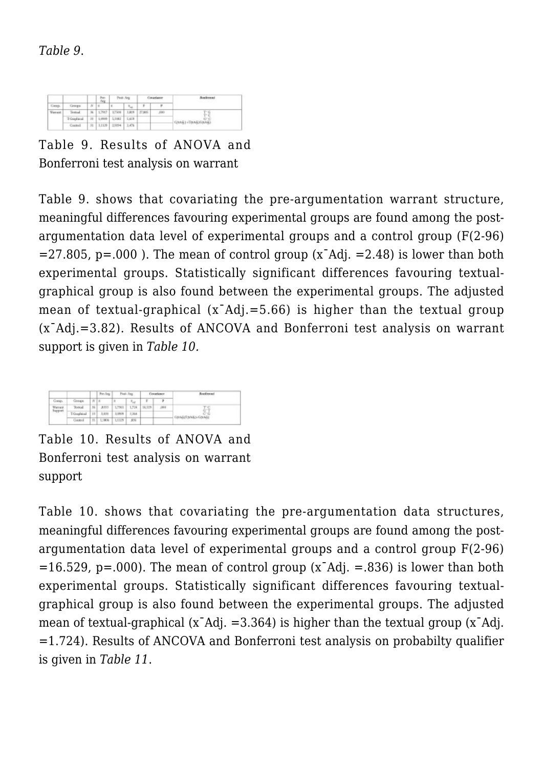|                |             |             | Pac-<br>Arg. |                         | Pest-Arg                   |              | Cievanlance | can be expense in    |
|----------------|-------------|-------------|--------------|-------------------------|----------------------------|--------------|-------------|----------------------|
| Corsy.         | Groups      | $N$   $\pi$ |              | $\overline{\mathbf{S}}$ | $\mathcal{R}_{\text{tot}}$ |              | ٢           |                      |
| <b>Viewell</b> | Testinal.   |             | 36 1,7917    | 3,7506                  |                            | 1,819 27,805 | ,680        | $T - G$<br>'nй       |
|                | T-Guaduical |             |              | 33 3,0909 5,3182 5,659  |                            |              |             | C-C                  |
|                | Control     |             | 31   3.1129  | 2,9894 2.476            |                            |              |             | C(144) +T(145)G(145) |

Table 9. Results of ANOVA and Bonferroni test analysis on warrant

Table 9. shows that covariating the pre-argumentation warrant structure, meaningful differences favouring experimental groups are found among the postargumentation data level of experimental groups and a control group (F(2-96)  $=27.805$ , p=.000). The mean of control group (x<sup>-</sup>Adj.  $=2.48$ ) is lower than both experimental groups. Statistically significant differences favouring textualgraphical group is also found between the experimental groups. The adjusted mean of textual-graphical  $(x<sup>-</sup>Adj. = 5.66)$  is higher than the textual group (xˉAdj.=3.82). Results of ANCOVA and Bonferroni test analysis on warrant support is given in *Table 10.*

|                |             |            | Prodeg. | Finds Any        |                       | Countage      |         | and research      |
|----------------|-------------|------------|---------|------------------|-----------------------|---------------|---------|-------------------|
| Comics.        | Gregor      | $W \mid x$ |         | $\mathbb{R}$ x - | $x_{\lambda, \sigma}$ | к             |         | --------          |
| Warrack        | Total.      | 36         | 3333    | 1,7361           |                       | 1,724. 16,529 | $-2000$ |                   |
| <b>Support</b> | T-Graphical | 38         | 3, 0.10 | 3,0908           | 2,364                 |               |         | ÈĨ                |
|                | Gordeol     | 31.1       |         | L3006   LEI39    | 335                   |               |         | COMAGITOM&3=GOMGA |

Table 10. Results of ANOVA and Bonferroni test analysis on warrant support

Table 10. shows that covariating the pre-argumentation data structures, meaningful differences favouring experimental groups are found among the postargumentation data level of experimental groups and a control group F(2-96)  $=16.529$ , p=.000). The mean of control group (x<sup>-</sup>Adj. =.836) is lower than both experimental groups. Statistically significant differences favouring textualgraphical group is also found between the experimental groups. The adjusted mean of textual-graphical (xˉAdj. =3.364) is higher than the textual group (xˉAdj. =1.724). Results of ANCOVA and Bonferroni test analysis on probabilty qualifier is given in *Table 11*.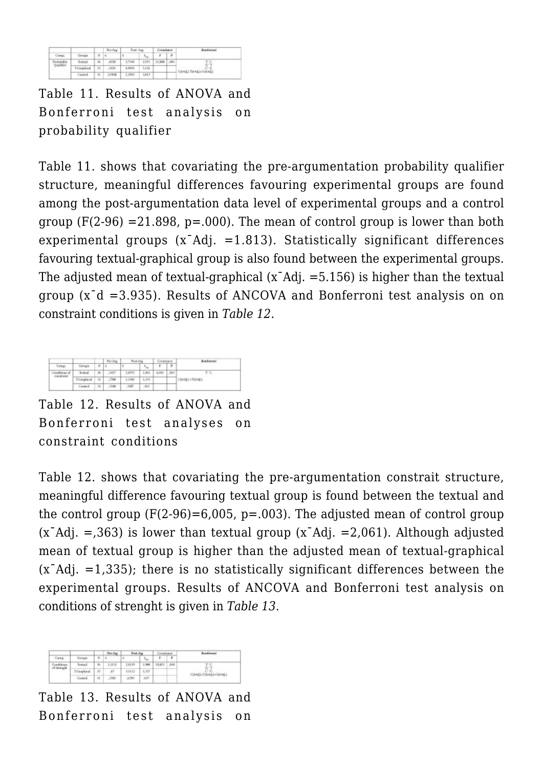|                  |             |    | <b>Ro-Arg</b>           | Constituto<br><b>Page-Ago</b> |               | <b>Roofressel</b> |       |                                            |
|------------------|-------------|----|-------------------------|-------------------------------|---------------|-------------------|-------|--------------------------------------------|
| Congo.           | Georges     | ĸ  | $\overline{\mathbf{x}}$ |                               | $R_{\rm tot}$ |                   | ×     |                                            |
| <b>Wilson</b>    | Textual     | 35 | A135                    | 1,7500                        | 3,935         | 21,696            | 1,000 | <b>TIME</b><br>온상<br>C(tAS) T(tAS) (G(tAS) |
| <b>Qualifier</b> | T-Graphical | 33 | 1634                    | 4.9091                        | 5.156         |                   |       |                                            |
|                  | Centrol     | n  | 2,0968                  | 2,2903                        | 3,815         |                   |       |                                            |

Table 11. Results of ANOVA and Bonferroni test analysis on probability qualifier

Table 11. shows that covariating the pre-argumentation probability qualifier structure, meaningful differences favouring experimental groups are found among the post-argumentation data level of experimental groups and a control group  $(F(2-96) = 21.898, p=.000)$ . The mean of control group is lower than both experimental groups (xˉAdj. =1.813). Statistically significant differences favouring textual-graphical group is also found between the experimental groups. The adjusted mean of textual-graphical  $(x<sup>-</sup>Adj. = 5.156)$  is higher than the textual group (xˉd =3.935). Results of ANCOVA and Bonferroni test analysis on on constraint conditions is given in *Table 12*.

|                 |             |              | Pro-Jetg     | Post-Arg |                                | Covariance | <b>Academoni</b> |                                          |
|-----------------|-------------|--------------|--------------|----------|--------------------------------|------------|------------------|------------------------------------------|
| Centp.          | Gregor      | M            | $\mathbf{x}$ |          | $\hat{\mathbf{x}}_{\text{ne}}$ |            | P                |                                          |
| Canditions of   | Toctud      | $\mathbb{R}$ | 5417         | 1,9971   | 1.861                          | 6,085      | ,005             | TС<br>CBANCI <tixab'i< td=""></tixab'i<> |
| <b>CORATARI</b> | T-Graphical | 33           | .1798        | 1,3182   | 1.335                          |            |                  |                                          |
|                 | Cientrol    | 31           | 1548         | 1167     | 363                            |            |                  |                                          |

Table 12. Results of ANOVA and Bonferroni test analyses on constraint conditions

Table 12. shows that covariating the pre-argumentation constrait structure, meaningful difference favouring textual group is found between the textual and the control group  $(F(2-96)=6,005, p=.003)$ . The adjusted mean of control group  $(x<sup>-</sup>Adi)$ . = (x<sup>-</sup>Adj. = (x<sup>-</sup>Adj. = 2,061). Although adjusted mean of textual group is higher than the adjusted mean of textual-graphical  $(x<sup>TA</sup>di. = 1,335)$ ; there is no statistically significant differences between the experimental groups. Results of ANCOVA and Bonferroni test analysis on conditions of strenght is given in *Table 13*.

| are e.       | <b>CHEMICA</b> | ĸ  | President<br>۱s | <b>Reduler</b> |               |        |      | Explorated      |
|--------------|----------------|----|-----------------|----------------|---------------|--------|------|-----------------|
|              |                |    |                 | ٠              | $S_{\rm ext}$ |        | ٠    |                 |
| of strength. | Isabel         | N) | 1.7131          | 2,0139         |               | 19,822 | 1008 | COMENTAMENTAME) |
|              | TiCkwelcind    | 15 | ЯT              | 8,9192         | <b>1.517</b>  |        |      |                 |
|              | Central        | n  | 281             | 8290           | NST           |        |      |                 |

Table 13. Results of ANOVA and Bonferroni test analysis on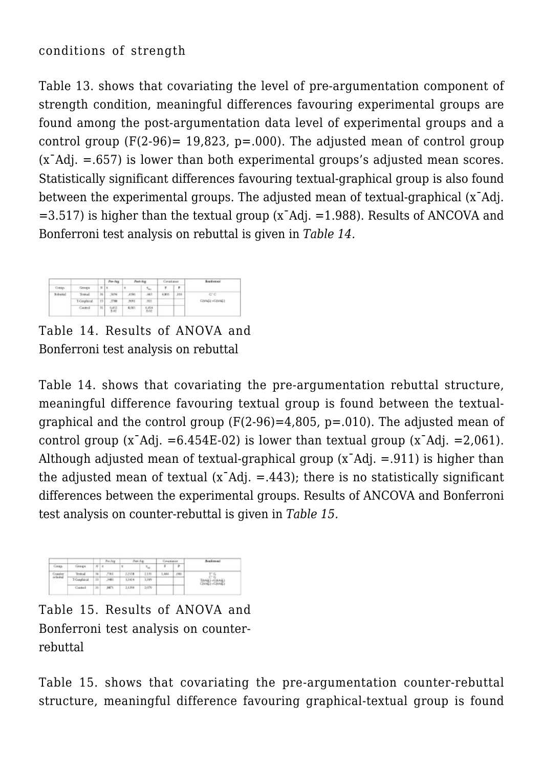## conditions of strength

Table 13. shows that covariating the level of pre-argumentation component of strength condition, meaningful differences favouring experimental groups are found among the post-argumentation data level of experimental groups and a control group  $(F(2-96) = 19,823, p=.000)$ . The adjusted mean of control group  $(x<sup>TA</sup>di. = 657)$  is lower than both experimental groups's adjusted mean scores. Statistically significant differences favouring textual-graphical group is also found between the experimental groups. The adjusted mean of textual-graphical (xˉAdj.  $=3.517$ ) is higher than the textual group (x<sup>-</sup>Adj.  $=1.988$ ). Results of ANCOVA and Bonferroni test analysis on rebuttal is given in *Table 14.*

| Coray.   | Grings             | ĸ          | Pre-Arg<br>$\vert$ s | Post-Aug |                            | Constituce |          | <b>Routlement</b>               |
|----------|--------------------|------------|----------------------|----------|----------------------------|------------|----------|---------------------------------|
|          |                    |            |                      | ٩        | $\mathcal{R}_{\text{max}}$ |            | r        |                                 |
| Rebuital | Textual            | 3h         | 5894                 | A596     | 343                        | 4,805      | $-0.016$ | $G^{\prime}G$<br>COVAGI +GOVAGI |
|          | <b>T-Graphical</b> | 33         | <b>J788</b>          | ,9091    | 311                        |            |          |                                 |
|          | Cantrol            | $_{\rm H}$ | 썛                    | 8,065    | 6,454                      |            |          |                                 |

Table 14. Results of ANOVA and Bonferroni test analysis on rebuttal

Table 14. shows that covariating the pre-argumentation rebuttal structure, meaningful difference favouring textual group is found between the textualgraphical and the control group  $(F(2-96)=4,805, p=.010)$ . The adjusted mean of control group  $(x<sup>-</sup>Ad)$ . =6.454E-02) is lower than textual group  $(x<sup>-</sup>Ad)$ . =2,061). Although adjusted mean of textual-graphical group  $(x<sup>-</sup>Ad)$ . = 911) is higher than the adjusted mean of textual  $(x<sup>T</sup>Adi)$ ,  $= .443$ ); there is no statistically significant differences between the experimental groups. Results of ANCOVA and Bonferroni test analysis on counter-rebuttal is given in *Table 15.*

| <b>Cocas</b>        | <b>GILKS</b> | $N \mid x$ | Pre-Arg     | land of me |       |             |     | andiramona i                      |
|---------------------|--------------|------------|-------------|------------|-------|-------------|-----|-----------------------------------|
|                     |              |            |             | ×          |       | F<br>$\sim$ | r   |                                   |
| Counter<br>relativi | Textual      | 56         | <b>J301</b> | 2,3538     | 2,139 | 1.444       | 086 | - 17<br>eп<br>DAME)<br>o Victoria |
|                     | T-Guaphical  | 33         | 1485        | 3,1414     | 3,399 |             |     |                                   |
|                     | Control      | 20         | 8871        | 2,1299     | 2,079 |             |     |                                   |

Table 15. Results of ANOVA and Bonferroni test analysis on counterrebuttal

Table 15. shows that covariating the pre-argumentation counter-rebuttal structure, meaningful difference favouring graphical-textual group is found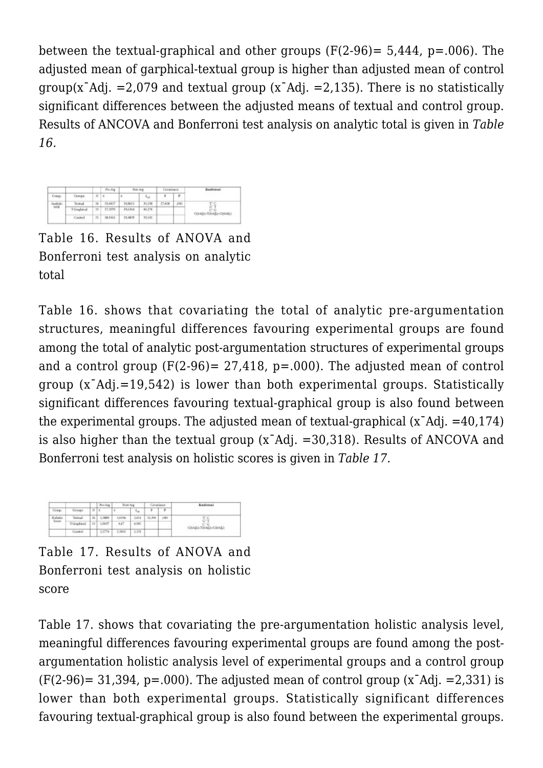between the textual-graphical and other groups  $(F(2-96)= 5.444, p=.006)$ . The adjusted mean of garphical-textual group is higher than adjusted mean of control group(x<sup>-</sup>Adj. =2,079 and textual group (x<sup>-</sup>Adj. =2,135). There is no statistically significant differences between the adjusted means of textual and control group. Results of ANCOVA and Bonferroni test analysis on analytic total is given in *Table 16.*

| Comp.              | Cirongos           | $N$   8 | Pre-Arg | Fost-Arg |                   | Covariance |      | Baofivrani                             |
|--------------------|--------------------|---------|---------|----------|-------------------|------------|------|----------------------------------------|
|                    |                    |         |         |          | $S_{\alpha\beta}$ |            | r    |                                        |
| Analytic<br>total. | Tottal             | 36      | 15:9417 | 30,6611  | 30,318            | 27,418     | ,000 | ГC<br>$G-T$<br>ee<br>COMMI-TOMMA-GOMMA |
|                    | <b>T-Graphical</b> | ET      | 17,1970 | 39, 6364 | 40,174            |            |      |                                        |
|                    | Control            | 33      | 18,9361 | 19,4839  | 79,542            |            |      |                                        |

Table 16. Results of ANOVA and Bonferroni test analysis on analytic total

Table 16. shows that covariating the total of analytic pre-argumentation structures, meaningful differences favouring experimental groups are found among the total of analytic post-argumentation structures of experimental groups and a control group  $(F(2-96) = 27.418, p = .000)$ . The adjusted mean of control group  $(x<sup>-</sup>Adi, =19.542)$  is lower than both experimental groups. Statistically significant differences favouring textual-graphical group is also found between the experimental groups. The adjusted mean of textual-graphical  $(x<sup>-</sup>Ad)$ . =40,174) is also higher than the textual group (xˉAdj. =30,318). Results of ANCOVA and Bonferroni test analysis on holistic scores is given in *Table 17.*

![](_page_16_Figure_4.jpeg)

Table 17. Results of ANOVA and Bonferroni test analysis on holistic score

Table 17. shows that covariating the pre-argumentation holistic analysis level, meaningful differences favouring experimental groups are found among the postargumentation holistic analysis level of experimental groups and a control group  $(F(2-96)=31,394, p=.000)$ . The adjusted mean of control group  $(x<sup>-</sup>Adi)$ .  $=2,331$  is lower than both experimental groups. Statistically significant differences favouring textual-graphical group is also found between the experimental groups.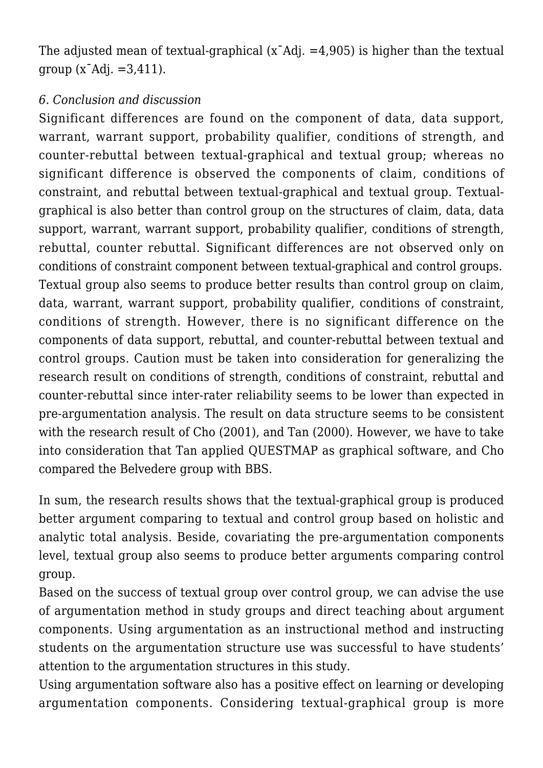The adjusted mean of textual-graphical  $(x<sup>-</sup>Adi)$ .  $=4,905$ ) is higher than the textual  $qroup (x<sup>-</sup>Adi. = 3.411).$ 

#### *6. Conclusion and discussion*

Significant differences are found on the component of data, data support, warrant, warrant support, probability qualifier, conditions of strength, and counter-rebuttal between textual-graphical and textual group; whereas no significant difference is observed the components of claim, conditions of constraint, and rebuttal between textual-graphical and textual group. Textualgraphical is also better than control group on the structures of claim, data, data support, warrant, warrant support, probability qualifier, conditions of strength, rebuttal, counter rebuttal. Significant differences are not observed only on conditions of constraint component between textual-graphical and control groups. Textual group also seems to produce better results than control group on claim, data, warrant, warrant support, probability qualifier, conditions of constraint, conditions of strength. However, there is no significant difference on the components of data support, rebuttal, and counter-rebuttal between textual and control groups. Caution must be taken into consideration for generalizing the research result on conditions of strength, conditions of constraint, rebuttal and counter-rebuttal since inter-rater reliability seems to be lower than expected in pre-argumentation analysis. The result on data structure seems to be consistent with the research result of Cho (2001), and Tan (2000). However, we have to take into consideration that Tan applied QUESTMAP as graphical software, and Cho compared the Belvedere group with BBS.

In sum, the research results shows that the textual-graphical group is produced better argument comparing to textual and control group based on holistic and analytic total analysis. Beside, covariating the pre-argumentation components level, textual group also seems to produce better arguments comparing control group.

Based on the success of textual group over control group, we can advise the use of argumentation method in study groups and direct teaching about argument components. Using argumentation as an instructional method and instructing students on the argumentation structure use was successful to have students' attention to the argumentation structures in this study.

Using argumentation software also has a positive effect on learning or developing argumentation components. Considering textual-graphical group is more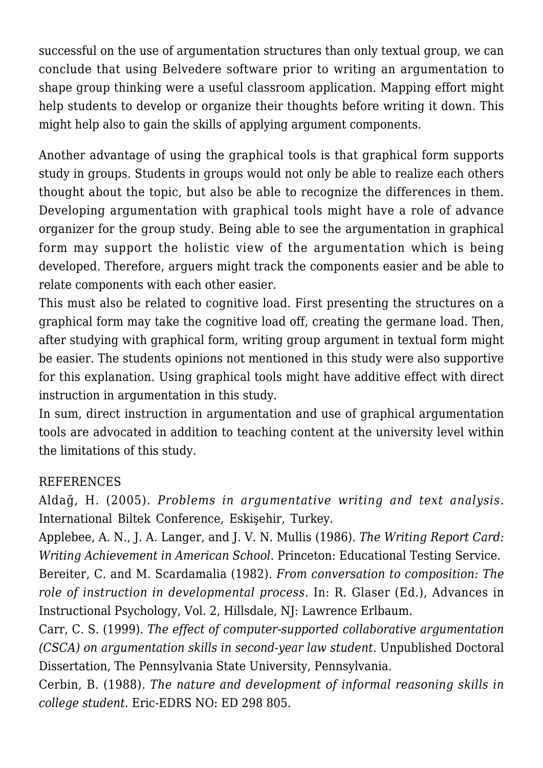successful on the use of argumentation structures than only textual group, we can conclude that using Belvedere software prior to writing an argumentation to shape group thinking were a useful classroom application. Mapping effort might help students to develop or organize their thoughts before writing it down. This might help also to gain the skills of applying argument components.

Another advantage of using the graphical tools is that graphical form supports study in groups. Students in groups would not only be able to realize each others thought about the topic, but also be able to recognize the differences in them. Developing argumentation with graphical tools might have a role of advance organizer for the group study. Being able to see the argumentation in graphical form may support the holistic view of the argumentation which is being developed. Therefore, arguers might track the components easier and be able to relate components with each other easier.

This must also be related to cognitive load. First presenting the structures on a graphical form may take the cognitive load off, creating the germane load. Then, after studying with graphical form, writing group argument in textual form might be easier. The students opinions not mentioned in this study were also supportive for this explanation. Using graphical tools might have additive effect with direct instruction in argumentation in this study.

In sum, direct instruction in argumentation and use of graphical argumentation tools are advocated in addition to teaching content at the university level within the limitations of this study.

### REFERENCES

Aldağ, H. (2005). *Problems in argumentative writing and text analysis*. International Biltek Conference, Eskişehir, Turkey.

Applebee, A. N., J. A. Langer, and J. V. N. Mullis (1986). *The Writing Report Card: Writing Achievement in American School*. Princeton: Educational Testing Service. Bereiter, C. and M. Scardamalia (1982). *From conversation to composition: The role of instruction in developmental process*. In: R. Glaser (Ed.), Advances in Instructional Psychology, Vol. 2, Hillsdale, NJ: Lawrence Erlbaum.

Carr, C. S. (1999). *The effect of computer-supported collaborative argumentation (CSCA) on argumentation skills in second-year law student*. Unpublished Doctoral Dissertation, The Pennsylvania State University, Pennsylvania.

Cerbin, B. (1988). *The nature and development of informal reasoning skills in college student.* Eric-EDRS NO: ED 298 805.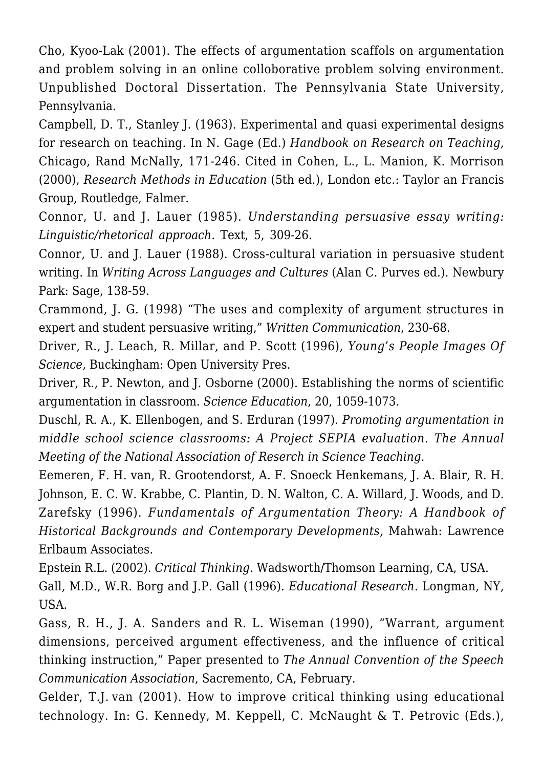Cho, Kyoo-Lak (2001). The effects of argumentation scaffols on argumentation and problem solving in an online colloborative problem solving environment. Unpublished Doctoral Dissertation. The Pennsylvania State University, Pennsylvania.

Campbell, D. T., Stanley J. (1963). Experimental and quasi experimental designs for research on teaching. In N. Gage (Ed.) *Handbook on Research on Teaching*, Chicago, Rand McNally, 171-246. Cited in Cohen, L., L. Manion, K. Morrison (2000), *Research Methods in Education* (5th ed.), London etc.: Taylor an Francis Group, Routledge, Falmer.

Connor, U. and J. Lauer (1985). *Understanding persuasive essay writing: Linguistic/rhetorical approach*. Text, 5, 309-26.

Connor, U. and J. Lauer (1988). Cross-cultural variation in persuasive student writing. In *Writing Across Languages and Cultures* (Alan C. Purves ed.). Newbury Park: Sage, 138-59.

Crammond, J. G. (1998) "The uses and complexity of argument structures in expert and student persuasive writing," *Written Communication*, 230-68.

Driver, R., J. Leach, R. Millar, and P. Scott (1996), *Young's People Images Of Science*, Buckingham: Open University Pres.

Driver, R., P. Newton, and J. Osborne (2000). Establishing the norms of scientific argumentation in classroom. *Science Education*, 20, 1059-1073.

Duschl, R. A., K. Ellenbogen, and S. Erduran (1997). *Promoting argumentation in middle school science classrooms: A Project SEPIA evaluation. The Annual Meeting of the National Association of Reserch in Science Teaching.*

Eemeren, F. H. van, R. Grootendorst, A. F. Snoeck Henkemans, J. A. Blair, R. H. Johnson, E. C. W. Krabbe, C. Plantin, D. N. Walton, C. A. Willard, J. Woods, and D. Zarefsky (1996). *Fundamentals of Argumentation Theory: A Handbook of Historical Backgrounds and Contemporary Developments,* Mahwah: Lawrence Erlbaum Associates.

Epstein R.L. (2002). *Critical Thinking*. Wadsworth/Thomson Learning, CA, USA. Gall, M.D., W.R. Borg and J.P. Gall (1996). *Educational Research*. Longman, NY, USA.

Gass, R. H., J. A. Sanders and R. L. Wiseman (1990), "Warrant, argument dimensions, perceived argument effectiveness, and the influence of critical thinking instruction," Paper presented to *The Annual Convention of the Speech Communication Association*, Sacremento, CA, February.

Gelder, T.J. van (2001). How to improve critical thinking using educational technology. In: G. Kennedy, M. Keppell, C. McNaught & T. Petrovic (Eds.),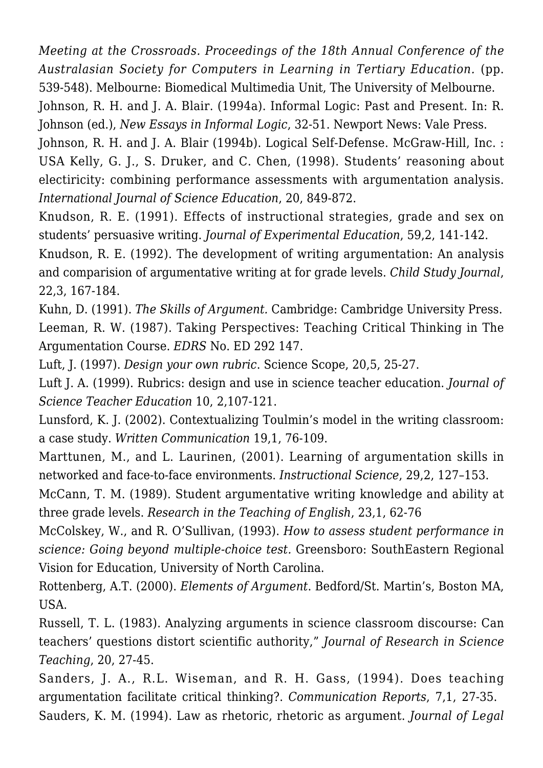*Meeting at the Crossroads. Proceedings of the 18th Annual Conference of the Australasian Society for Computers in Learning in Tertiary Education.* (pp. 539-548). Melbourne: Biomedical Multimedia Unit, The University of Melbourne.

Johnson, R. H. and J. A. Blair. (1994a). Informal Logic: Past and Present. In: R. Johnson (ed.), *New Essays in Informal Logic*, 32-51. Newport News: Vale Press.

Johnson, R. H. and J. A. Blair (1994b). Logical Self-Defense. McGraw-Hill, Inc. : USA Kelly, G. J., S. Druker, and C. Chen, (1998). Students' reasoning about electiricity: combining performance assessments with argumentation analysis. *International Journal of Science Education*, 20, 849-872.

Knudson, R. E. (1991). Effects of instructional strategies, grade and sex on students' persuasive writing. *Journal of Experimental Education*, 59,2, 141-142.

Knudson, R. E. (1992). The development of writing argumentation: An analysis and comparision of argumentative writing at for grade levels. *Child Study Journal*, 22,3, 167-184.

Kuhn, D. (1991). *The Skills of Argument.* Cambridge: Cambridge University Press. Leeman, R. W. (1987). Taking Perspectives: Teaching Critical Thinking in The Argumentation Course. *EDRS* No. ED 292 147.

Luft, J. (1997). *Design your own rubric*. Science Scope, 20,5, 25-27.

Luft J. A. (1999). Rubrics: design and use in science teacher education. *Journal of Science Teacher Education* 10, 2,107-121.

Lunsford, K. J. (2002). Contextualizing Toulmin's model in the writing classroom: a case study. *Written Communication* 19,1, 76-109.

Marttunen, M., and L. Laurinen, (2001). Learning of argumentation skills in networked and face-to-face environments. *Instructional Science*, 29,2, 127–153.

McCann, T. M. (1989). Student argumentative writing knowledge and ability at three grade levels. *Research in the Teaching of English*, 23,1, 62-76

McColskey, W., and R. O'Sullivan, (1993). *How to assess student performance in science: Going beyond multiple-choice test.* Greensboro: SouthEastern Regional Vision for Education, University of North Carolina.

Rottenberg, A.T. (2000). *Elements of Argument*. Bedford/St. Martin's, Boston MA, USA.

Russell, T. L. (1983). Analyzing arguments in science classroom discourse: Can teachers' questions distort scientific authority," *Journal of Research in Science Teaching*, 20, 27-45.

Sanders, J. A., R.L. Wiseman, and R. H. Gass, (1994). Does teaching argumentation facilitate critical thinking?. *Communication Reports*, 7,1, 27-35. Sauders, K. M. (1994). Law as rhetoric, rhetoric as argument. *Journal of Legal*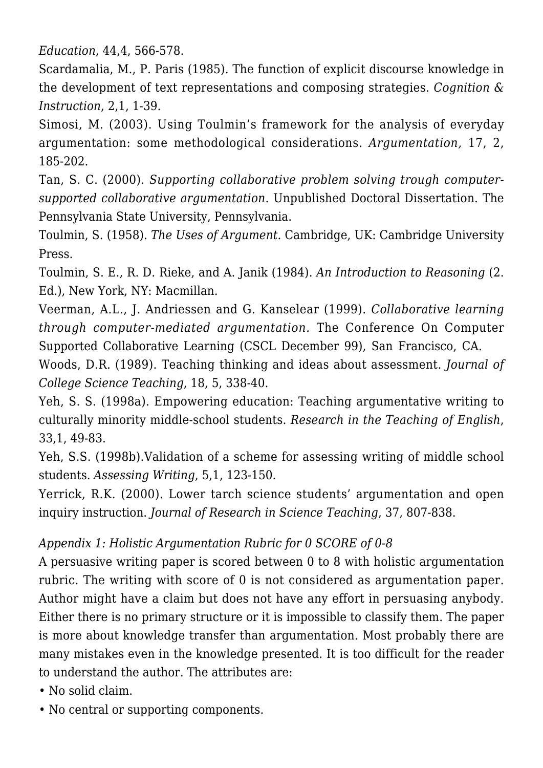*Education*, 44,4, 566-578.

Scardamalia, M., P. Paris (1985). The function of explicit discourse knowledge in the development of text representations and composing strategies. *Cognition & Instruction*, 2,1, 1-39.

Simosi, M. (2003). Using Toulmin's framework for the analysis of everyday argumentation: some methodological considerations. *Argumentation,* 17, 2, 185-202.

Tan, S. C. (2000). *Supporting collaborative problem solving trough computersupported collaborative argumentation*. Unpublished Doctoral Dissertation. The Pennsylvania State University, Pennsylvania.

Toulmin, S. (1958). *The Uses of Argument.* Cambridge, UK: Cambridge University Press.

Toulmin, S. E., R. D. Rieke, and A. Janik (1984). *An Introduction to Reasoning* (2. Ed.), New York, NY: Macmillan.

Veerman, A.L., J. Andriessen and G. Kanselear (1999). *Collaborative learning through computer-mediated argumentation.* The Conference On Computer Supported Collaborative Learning (CSCL December 99), San Francisco, CA.

Woods, D.R. (1989). Teaching thinking and ideas about assessment. *Journal of College Science Teaching*, 18, 5, 338-40.

Yeh, S. S. (1998a). Empowering education: Teaching argumentative writing to culturally minority middle-school students. *Research in the Teaching of English*, 33,1, 49-83.

Yeh, S.S. (1998b).Validation of a scheme for assessing writing of middle school students. *Assessing Writing*, 5,1, 123-150.

Yerrick, R.K. (2000). Lower tarch science students' argumentation and open inquiry instruction. *Journal of Research in Science Teaching*, 37, 807-838.

# *Appendix 1: Holistic Argumentation Rubric for 0 SCORE of 0-8*

A persuasive writing paper is scored between 0 to 8 with holistic argumentation rubric. The writing with score of 0 is not considered as argumentation paper. Author might have a claim but does not have any effort in persuasing anybody. Either there is no primary structure or it is impossible to classify them. The paper is more about knowledge transfer than argumentation. Most probably there are many mistakes even in the knowledge presented. It is too difficult for the reader to understand the author. The attributes are:

- No solid claim.
- No central or supporting components.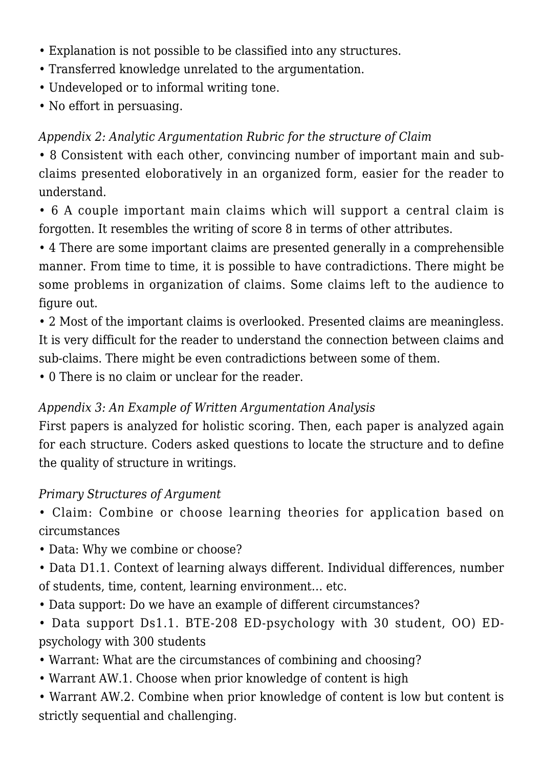- Explanation is not possible to be classified into any structures.
- Transferred knowledge unrelated to the argumentation.
- Undeveloped or to informal writing tone.
- No effort in persuasing.

# *Appendix 2: Analytic Argumentation Rubric for the structure of Claim*

• 8 Consistent with each other, convincing number of important main and subclaims presented eloboratively in an organized form, easier for the reader to understand.

• 6 A couple important main claims which will support a central claim is forgotten. It resembles the writing of score 8 in terms of other attributes.

• 4 There are some important claims are presented generally in a comprehensible manner. From time to time, it is possible to have contradictions. There might be some problems in organization of claims. Some claims left to the audience to figure out.

• 2 Most of the important claims is overlooked. Presented claims are meaningless. It is very difficult for the reader to understand the connection between claims and sub-claims. There might be even contradictions between some of them.

• 0 There is no claim or unclear for the reader.

# *Appendix 3: An Example of Written Argumentation Analysis*

First papers is analyzed for holistic scoring. Then, each paper is analyzed again for each structure. Coders asked questions to locate the structure and to define the quality of structure in writings.

### *Primary Structures of Argument*

• Claim: Combine or choose learning theories for application based on circumstances

- Data: Why we combine or choose?
- Data D1.1. Context of learning always different. Individual differences, number of students, time, content, learning environment… etc.
- Data support: Do we have an example of different circumstances?

• Data support Ds1.1. BTE-208 ED-psychology with 30 student, OO) EDpsychology with 300 students

- Warrant: What are the circumstances of combining and choosing?
- Warrant AW.1. Choose when prior knowledge of content is high

• Warrant AW.2. Combine when prior knowledge of content is low but content is strictly sequential and challenging.